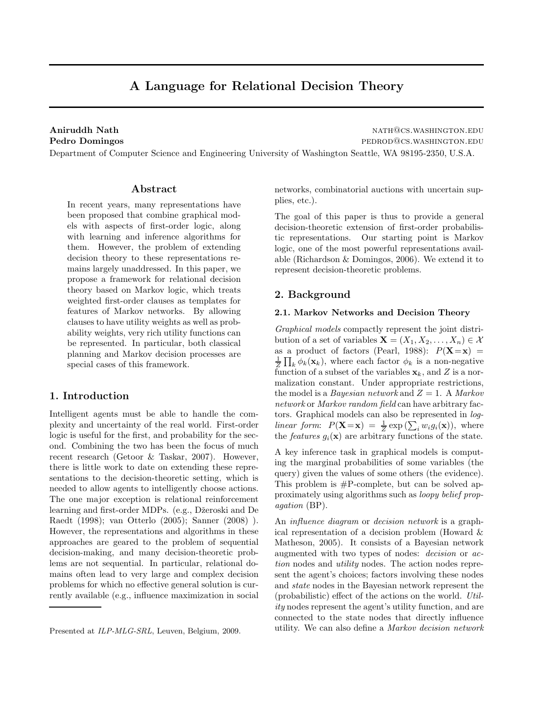# A Language for Relational Decision Theory

Aniruddh Nath nath@cs.washington.edu Pedro Domingos **pedro Domingos** pedrodos.washington.edu

Department of Computer Science and Engineering University of Washington Seattle, WA 98195-2350, U.S.A.

# Abstract

In recent years, many representations have been proposed that combine graphical models with aspects of first-order logic, along with learning and inference algorithms for them. However, the problem of extending decision theory to these representations remains largely unaddressed. In this paper, we propose a framework for relational decision theory based on Markov logic, which treats weighted first-order clauses as templates for features of Markov networks. By allowing clauses to have utility weights as well as probability weights, very rich utility functions can be represented. In particular, both classical planning and Markov decision processes are special cases of this framework.

# 1. Introduction

Intelligent agents must be able to handle the complexity and uncertainty of the real world. First-order logic is useful for the first, and probability for the second. Combining the two has been the focus of much recent research (Getoor & Taskar, 2007). However, there is little work to date on extending these representations to the decision-theoretic setting, which is needed to allow agents to intelligently choose actions. The one major exception is relational reinforcement learning and first-order MDPs. (e.g., Džeroski and De Raedt (1998); van Otterlo (2005); Sanner (2008) ). However, the representations and algorithms in these approaches are geared to the problem of sequential decision-making, and many decision-theoretic problems are not sequential. In particular, relational domains often lead to very large and complex decision problems for which no effective general solution is currently available (e.g., influence maximization in social networks, combinatorial auctions with uncertain supplies, etc.).

The goal of this paper is thus to provide a general decision-theoretic extension of first-order probabilistic representations. Our starting point is Markov logic, one of the most powerful representations available (Richardson & Domingos, 2006). We extend it to represent decision-theoretic problems.

# 2. Background

#### 2.1. Markov Networks and Decision Theory

Graphical models compactly represent the joint distribution of a set of variables  $\mathbf{X} = (X_1, X_2, \dots, X_n) \in \mathcal{X}$ as a product of factors (Pearl, 1988):  $P(X=x)$  = 1  $\frac{1}{Z}\prod_k \phi_k(\mathbf{x}_k)$ , where each factor  $\phi_k$  is a non-negative function of a subset of the variables  $x_k$ , and Z is a normalization constant. Under appropriate restrictions, the model is a Bayesian network and  $Z = 1$ . A Markov network or Markov random field can have arbitrary factors. Graphical models can also be represented in loglinear form:  $P(\mathbf{X} = \mathbf{x}) = \frac{1}{Z} \exp(\sum_i w_i g_i(\mathbf{x}))$ , where the features  $g_i(\mathbf{x})$  are arbitrary functions of the state.

A key inference task in graphical models is computing the marginal probabilities of some variables (the query) given the values of some others (the evidence). This problem is #P-complete, but can be solved approximately using algorithms such as loopy belief propagation (BP).

An *influence diagram* or *decision network* is a graphical representation of a decision problem (Howard & Matheson, 2005). It consists of a Bayesian network augmented with two types of nodes: decision or action nodes and utility nodes. The action nodes represent the agent's choices; factors involving these nodes and state nodes in the Bayesian network represent the (probabilistic) effect of the actions on the world. Utility nodes represent the agent's utility function, and are connected to the state nodes that directly influence utility. We can also define a Markov decision network

Presented at *ILP-MLG-SRL*, Leuven, Belgium, 2009.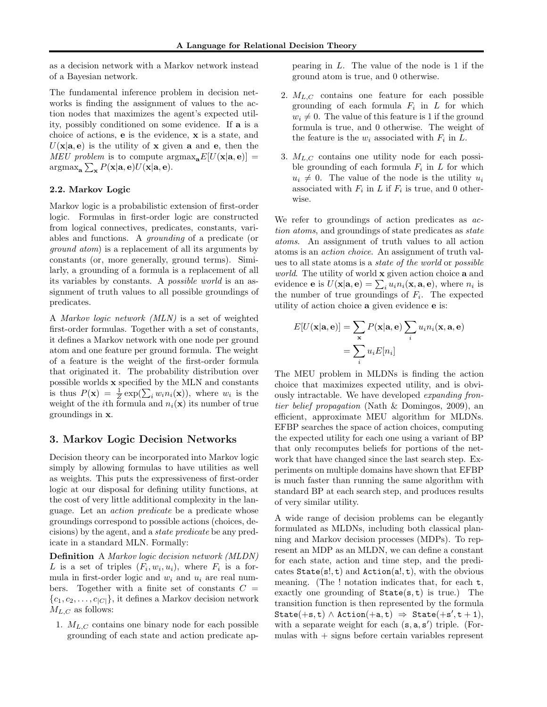as a decision network with a Markov network instead of a Bayesian network.

The fundamental inference problem in decision networks is finding the assignment of values to the action nodes that maximizes the agent's expected utility, possibly conditioned on some evidence. If a is a choice of actions, e is the evidence, x is a state, and  $U(\mathbf{x}|\mathbf{a}, \mathbf{e})$  is the utility of **x** given **a** and **e**, then the MEU problem is to compute  $\arg \max_{\mathbf{a}} E[U(\mathbf{x}|\mathbf{a}, \mathbf{e})] =$  $\operatorname{argmax}_{\mathbf{a}} \sum_{\mathbf{x}} P(\mathbf{x}|\mathbf{a},\mathbf{e}) U(\mathbf{x}|\mathbf{a},\mathbf{e}).$ 

#### 2.2. Markov Logic

Markov logic is a probabilistic extension of first-order logic. Formulas in first-order logic are constructed from logical connectives, predicates, constants, variables and functions. A grounding of a predicate (or ground atom) is a replacement of all its arguments by constants (or, more generally, ground terms). Similarly, a grounding of a formula is a replacement of all its variables by constants. A possible world is an assignment of truth values to all possible groundings of predicates.

A Markov logic network (MLN) is a set of weighted first-order formulas. Together with a set of constants, it defines a Markov network with one node per ground atom and one feature per ground formula. The weight of a feature is the weight of the first-order formula that originated it. The probability distribution over possible worlds x specified by the MLN and constants is thus  $P(\mathbf{x}) = \frac{1}{Z} \exp(\sum_i w_i n_i(\mathbf{x}))$ , where  $w_i$  is the weight of the *i*th formula and  $n_i(\mathbf{x})$  its number of true groundings in x.

# 3. Markov Logic Decision Networks

Decision theory can be incorporated into Markov logic simply by allowing formulas to have utilities as well as weights. This puts the expressiveness of first-order logic at our disposal for defining utility functions, at the cost of very little additional complexity in the language. Let an action predicate be a predicate whose groundings correspond to possible actions (choices, decisions) by the agent, and a state predicate be any predicate in a standard MLN. Formally:

Definition A Markov logic decision network (MLDN) L is a set of triples  $(F_i, w_i, u_i)$ , where  $F_i$  is a formula in first-order logic and  $w_i$  and  $u_i$  are real numbers. Together with a finite set of constants  $C =$  ${c_1, c_2, \ldots, c_{|C|}}$ , it defines a Markov decision network  $M_{L,C}$  as follows:

1.  $M_{L,C}$  contains one binary node for each possible grounding of each state and action predicate appearing in L. The value of the node is 1 if the ground atom is true, and 0 otherwise.

- 2.  $M_{L,C}$  contains one feature for each possible grounding of each formula  $F_i$  in  $L$  for which  $w_i \neq 0$ . The value of this feature is 1 if the ground formula is true, and 0 otherwise. The weight of the feature is the  $w_i$  associated with  $F_i$  in  $L$ .
- 3.  $M_{L,C}$  contains one utility node for each possible grounding of each formula  $F_i$  in  $L$  for which  $u_i \neq 0$ . The value of the node is the utility  $u_i$ associated with  $F_i$  in L if  $F_i$  is true, and 0 otherwise.

We refer to groundings of action predicates as  $ac$ tion atoms, and groundings of state predicates as *state* atoms. An assignment of truth values to all action atoms is an action choice. An assignment of truth values to all state atoms is a state of the world or possible world. The utility of world x given action choice a and evidence **e** is  $U(\mathbf{x}|\mathbf{a}, \mathbf{e}) = \sum_i u_i n_i(\mathbf{x}, \mathbf{a}, \mathbf{e})$ , where  $n_i$  is the number of true groundings of  $F_i$ . The expected utility of action choice a given evidence e is:

$$
E[U(\mathbf{x}|\mathbf{a},\mathbf{e})] = \sum_{\mathbf{x}} P(\mathbf{x}|\mathbf{a},\mathbf{e}) \sum_{i} u_i n_i(\mathbf{x},\mathbf{a},\mathbf{e})
$$

$$
= \sum_{i} u_i E[n_i]
$$

The MEU problem in MLDNs is finding the action choice that maximizes expected utility, and is obviously intractable. We have developed expanding frontier belief propagation (Nath & Domingos, 2009), an efficient, approximate MEU algorithm for MLDNs. EFBP searches the space of action choices, computing the expected utility for each one using a variant of BP that only recomputes beliefs for portions of the network that have changed since the last search step. Experiments on multiple domains have shown that EFBP is much faster than running the same algorithm with standard BP at each search step, and produces results of very similar utility.

A wide range of decision problems can be elegantly formulated as MLDNs, including both classical planning and Markov decision processes (MDPs). To represent an MDP as an MLDN, we can define a constant for each state, action and time step, and the predicates  $State(s!, t)$  and  $Action(a!, t)$ , with the obvious meaning. (The ! notation indicates that, for each t, exactly one grounding of  $State(s, t)$  is true.) The transition function is then represented by the formula  $\texttt{State}(\texttt{+s}, \texttt{t}) \wedge \texttt{Action}(\texttt{+a}, \texttt{t}) \Rightarrow \texttt{State}(\texttt{+s}', \texttt{t} + \texttt{1}),$ with a separate weight for each  $(s, a, s')$  triple. (Formulas with  $+$  signs before certain variables represent